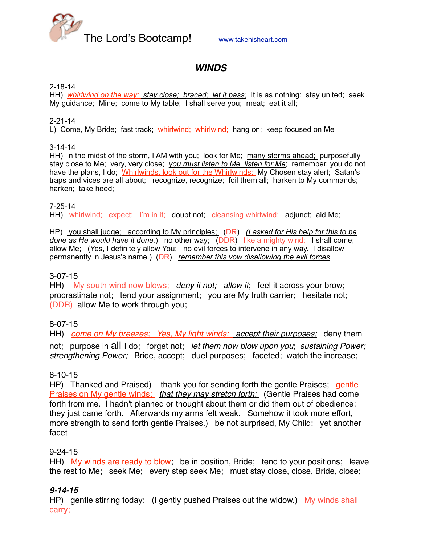

# *WINDS*

#### 2-18-14

HH) *whirlwind on the way; stay close; braced; let it pass;* It is as nothing; stay united; seek My guidance; Mine; come to My table; I shall serve you; meat; eat it all;

#### 2-21-14

L) Come, My Bride; fast track; whirlwind; whirlwind; hang on; keep focused on Me

#### 3-14-14

HH) in the midst of the storm, I AM with you; look for Me; many storms ahead; purposefully stay close to Me; very, very close; *you must listen to Me, listen for Me*; remember, you do not have the plans, I do; Whirlwinds, look out for the Whirlwinds; My Chosen stay alert; Satan's traps and vices are all about; recognize, recognize; foil them all; harken to My commands; harken; take heed;

7-25-14

HH) whirlwind; expect; I'm in it; doubt not; cleansing whirlwind; adjunct; aid Me;

HP) you shall judge; according to My principles; (DR) *(I asked for His help for this to be done as He would have it done.*) no other way; (DDR) like a mighty wind; I shall come; allow Me; (Yes, I definitely allow You; no evil forces to intervene in any way. I disallow permanently in Jesus's name.) (DR) *remember this vow disallowing the evil forces*

## 3-07-15

HH) My south wind now blows; *deny it not; allow it*; feel it across your brow; procrastinate not; tend your assignment; you are My truth carrier; hesitate not; (DDR) allow Me to work through you;

# 8-07-15

HH) *come on My breezes; Yes, My light winds; accept their purposes;* deny them not; purpose in all I do; forget not; *let them now blow upon you*; *sustaining Power; strengthening Power;* Bride, accept; duel purposes; faceted; watch the increase;

## 8-10-15

HP) Thanked and Praised) thank you for sending forth the gentle Praises; gentle Praises on My gentle winds; *that they may stretch forth;* (Gentle Praises had come forth from me. I hadn't planned or thought about them or did them out of obedience; they just came forth. Afterwards my arms felt weak. Somehow it took more effort, more strength to send forth gentle Praises.) be not surprised, My Child; yet another facet

## 9-24-15

HH) My winds are ready to blow; be in position, Bride; tend to your positions; leave the rest to Me; seek Me; every step seek Me; must stay close, close, Bride, close;

# *9-14-15*

HP) gentle stirring today; (I gently pushed Praises out the widow.) My winds shall carry;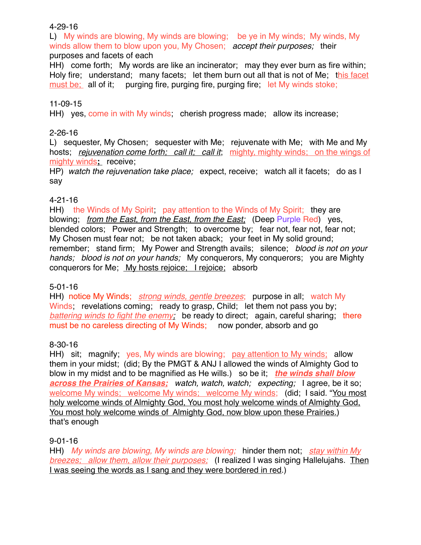## 4-29-16

L) My winds are blowing, My winds are blowing; be ye in My winds; My winds, My winds allow them to blow upon you, My Chosen; *accept their purposes;* their purposes and facets of each

HH) come forth; My words are like an incinerator; may they ever burn as fire within; Holy fire; understand; many facets; let them burn out all that is not of Me; this facet must be; all of it; purging fire, purging fire, purging fire; let My winds stoke;

## 11-09-15

HH) yes, come in with My winds; cherish progress made; allow its increase;

## 2-26-16

L) sequester, My Chosen; sequester with Me; rejuvenate with Me; with Me and My hosts; *rejuvenation come forth; call it; call it*; mighty, mighty winds; on the wings of mighty winds**;** receive;

HP) *watch the rejuvenation take place;* expect, receive; watch all it facets; do as I say

# 4-21-16

HH) the Winds of My Spirit; pay attention to the Winds of My Spirit; they are blowing; *from the East, from the East, from the East;* (Deep Purple Red) yes, blended colors; Power and Strength; to overcome by; fear not, fear not, fear not; My Chosen must fear not; be not taken aback; your feet in My solid ground; remember; stand firm; My Power and Strength avails; silence; *blood is not on your hands; blood is not on your hands;* My conquerors, My conquerors; you are Mighty conquerors for Me; My hosts rejoice; I rejoice; absorb

# 5-01-16

HH) notice My Winds; *strong winds, gentle breezes*; purpose in all; watch My Winds; revelations coming; ready to grasp, Child; let them not pass you by; *battering winds to fight the enemy;* be ready to direct; again, careful sharing; there must be no careless directing of My Winds; now ponder, absorb and go

# 8-30-16

HH) sit; magnify; yes, My winds are blowing; pay attention to My winds; allow them in your midst; (did; By the PMGT & ANJ I allowed the winds of Almighty God to blow in my midst and to be magnified as He wills.) so be it; *the winds shall blow across the Prairies of Kansas; watch, watch, watch; expecting;* I agree, be it so; welcome My winds; welcome My winds; welcome My winds; (did; I said. "You most holy welcome winds of Almighty God, You most holy welcome winds of Almighty God, You most holy welcome winds of Almighty God, now blow upon these Prairies.) that's enough

## 9-01-16

HH) *My winds are blowing, My winds are blowing;* hinder them not; *stay within My breezes; allow them, allow their purposes;* (I realized I was singing Hallelujahs. Then I was seeing the words as I sang and they were bordered in red.)